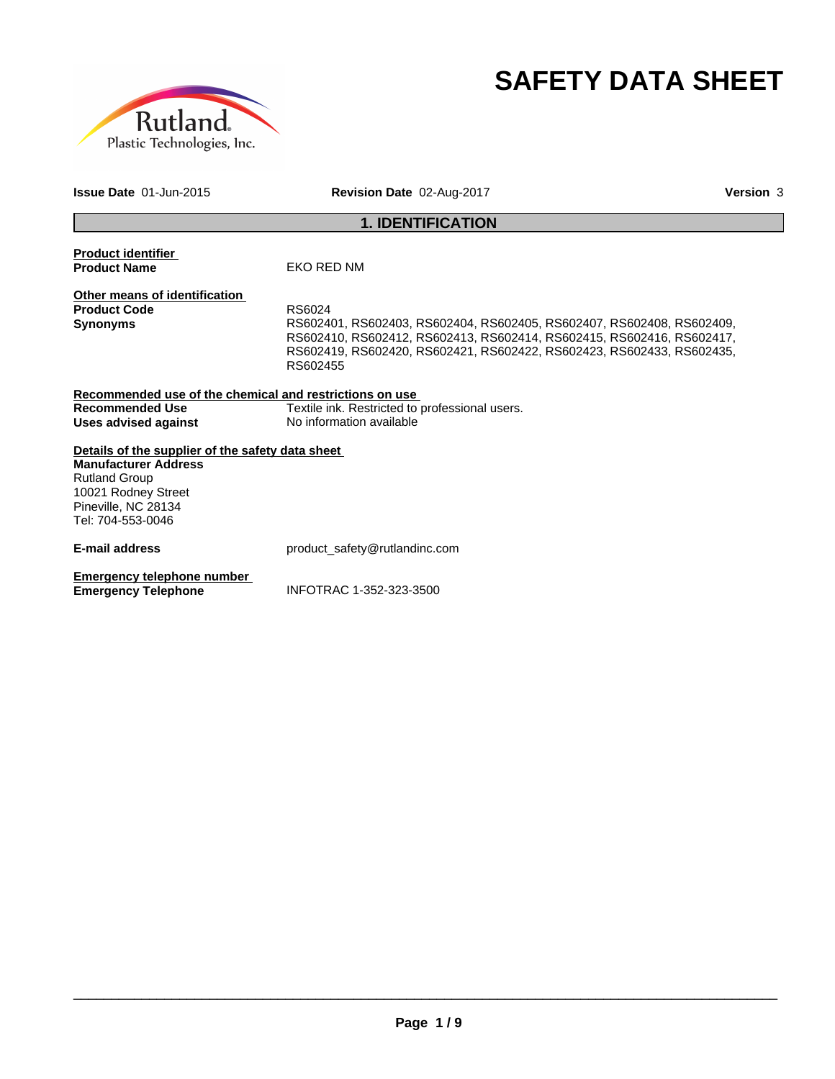



**Issue Date** 01-Jun-2015 **Revision Date** 02-Aug-2017 **Version** 3

# **1. IDENTIFICATION**

| <b>Product identifier</b><br><b>Product Name</b>                                                                                                                           | EKO RED NM                                                                                                                                                                                                                                    |
|----------------------------------------------------------------------------------------------------------------------------------------------------------------------------|-----------------------------------------------------------------------------------------------------------------------------------------------------------------------------------------------------------------------------------------------|
| Other means of identification<br><b>Product Code</b><br><b>Synonyms</b>                                                                                                    | RS6024<br>RS602401, RS602403, RS602404, RS602405, RS602407, RS602408, RS602409,<br>RS602410, RS602412, RS602413, RS602414, RS602415, RS602416, RS602417,<br>RS602419, RS602420, RS602421, RS602422, RS602423, RS602433, RS602435,<br>RS602455 |
| Recommended use of the chemical and restrictions on use                                                                                                                    |                                                                                                                                                                                                                                               |
| <b>Recommended Use</b><br>Uses advised against                                                                                                                             | Textile ink. Restricted to professional users.<br>No information available                                                                                                                                                                    |
| Details of the supplier of the safety data sheet<br><b>Manufacturer Address</b><br><b>Rutland Group</b><br>10021 Rodney Street<br>Pineville, NC 28134<br>Tel: 704-553-0046 |                                                                                                                                                                                                                                               |
| <b>E-mail address</b>                                                                                                                                                      | product_safety@rutlandinc.com                                                                                                                                                                                                                 |
| Emergency telephone number<br><b>Emergency Telephone</b>                                                                                                                   | INFOTRAC 1-352-323-3500                                                                                                                                                                                                                       |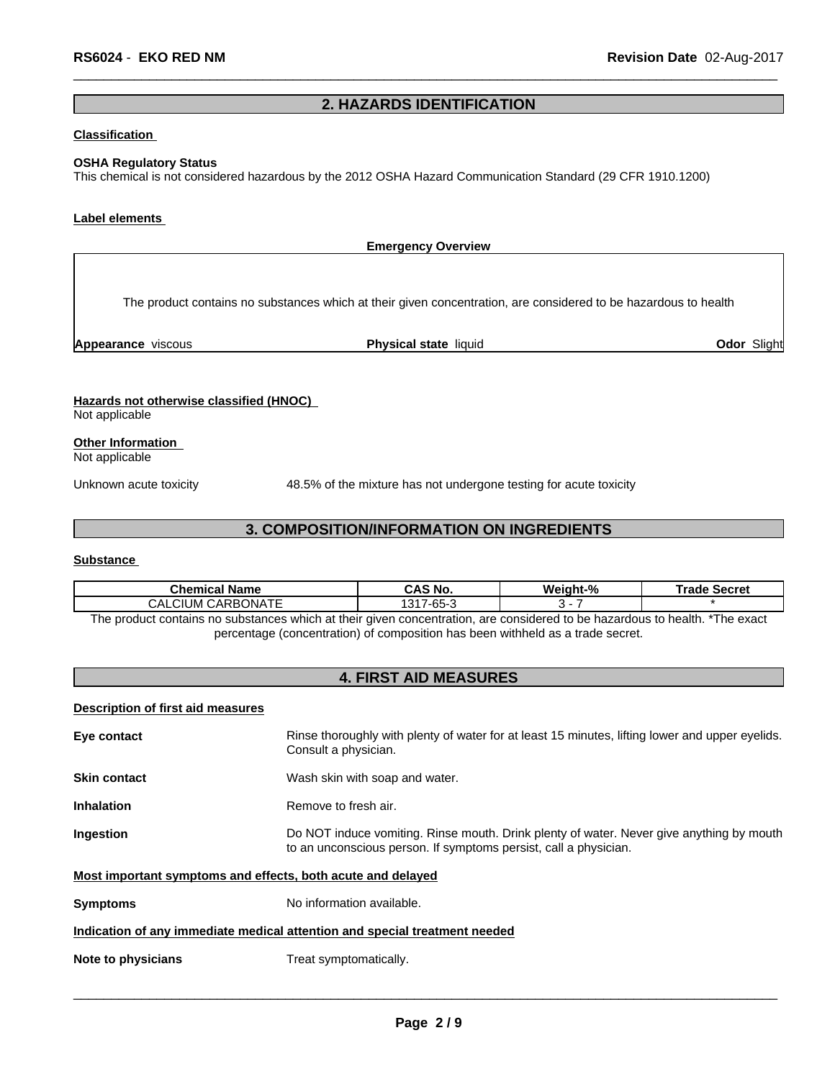## **2. HAZARDS IDENTIFICATION**

## **Classification**

#### **OSHA Regulatory Status**

This chemical is not considered hazardous by the 2012 OSHA Hazard Communication Standard (29 CFR 1910.1200)

#### **Label elements**

**Emergency Overview Hazards not otherwise classified (HNOC)** Not applicable The product contains no substances which at their given concentration, are considered to be hazardous to health **Appearance** viscous **Physical state** liquid **Odor** Slight

**Other Information**

Not applicable

Unknown acute toxicity 48.5% of the mixturehas not undergone testing for acute toxicity

## **3. COMPOSITION/INFORMATION ON INGREDIENTS**

#### **Substance**

| Chemical '<br><b>Name</b>                                                                                                                                                                                                     | No.                              | Weiaht-% | Secret<br>rage |  |
|-------------------------------------------------------------------------------------------------------------------------------------------------------------------------------------------------------------------------------|----------------------------------|----------|----------------|--|
| . <del>. .</del><br>CARBONA.<br>CALCIUM                                                                                                                                                                                       | $\sim$ $\sim$<br>. $-66$<br>ג-כס |          |                |  |
| The second of contribution of the factor of the bank of the street contribution of the second to be controlled to be children to the state of the second of the second of the second of the second of the second of the secon |                                  |          |                |  |

The product contains no substances which at their given concentration, are considered to be hazardous to health. \*The exact percentage (concentration) of composition has been withheld as a trade secret.

## **4. FIRST AID MEASURES**

#### **Description of first aid measures**

| Eye contact                                                 | Rinse thoroughly with plenty of water for at least 15 minutes, lifting lower and upper eyelids.<br>Consult a physician.                                      |
|-------------------------------------------------------------|--------------------------------------------------------------------------------------------------------------------------------------------------------------|
| <b>Skin contact</b>                                         | Wash skin with soap and water.                                                                                                                               |
| <b>Inhalation</b>                                           | Remove to fresh air.                                                                                                                                         |
| <b>Ingestion</b>                                            | Do NOT induce vomiting. Rinse mouth. Drink plenty of water. Never give anything by mouth<br>to an unconscious person. If symptoms persist, call a physician. |
| Most important symptoms and effects, both acute and delayed |                                                                                                                                                              |
| <b>Symptoms</b>                                             | No information available.                                                                                                                                    |
|                                                             | Indication of any immediate medical attention and special treatment needed                                                                                   |
| Note to physicians                                          | Treat symptomatically.                                                                                                                                       |
|                                                             |                                                                                                                                                              |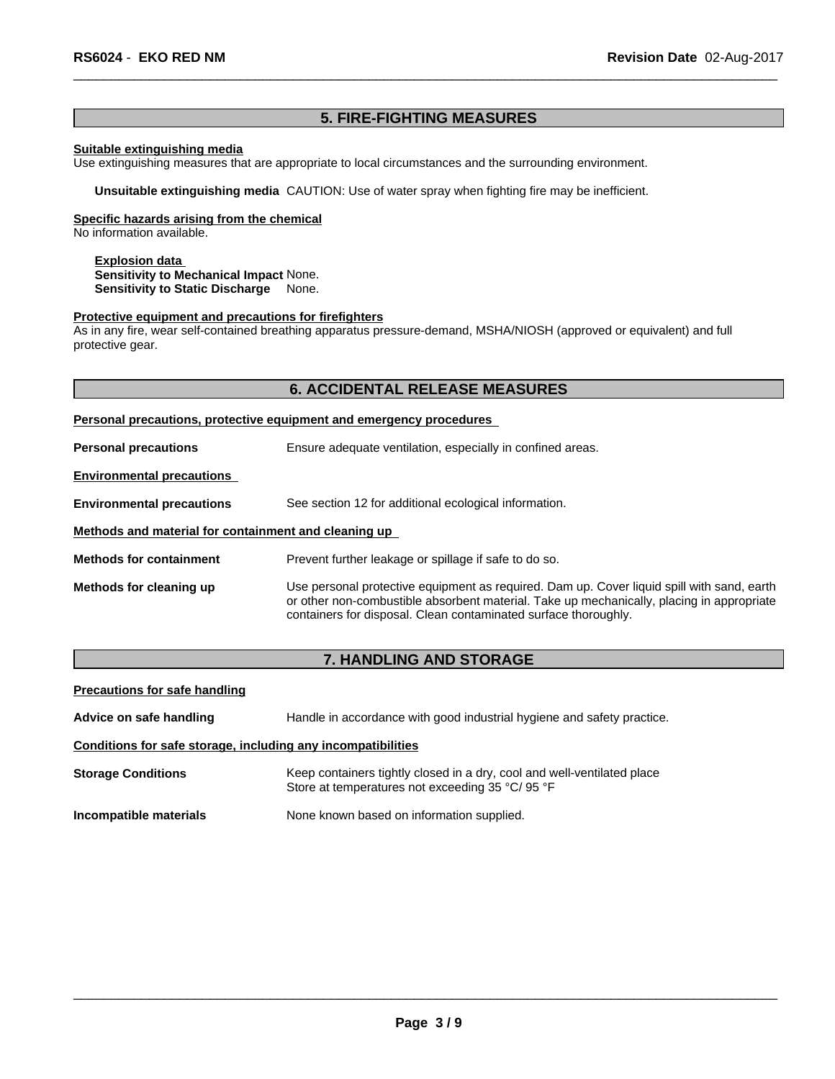## **5. FIRE-FIGHTING MEASURES**

#### **Suitable extinguishing media**

Use extinguishing measures that are appropriate to local circumstances and the surrounding environment.

**Unsuitable extinguishing media** CAUTION: Use of water spray when fighting fire may be inefficient.

### **Specific hazards arising from the chemical**

No information available.

**Explosion data Sensitivity to Mechanical Impact** None. **Sensitivity to Static Discharge** None.

#### **Protective equipment and precautions for firefighters**

As in any fire, wear self-contained breathing apparatus pressure-demand, MSHA/NIOSH (approved or equivalent) and full protective gear.

## **6. ACCIDENTAL RELEASE MEASURES**

#### **Personal precautions, protective equipment and emergency procedures**

| <b>Personal precautions</b>                          | Ensure adequate ventilation, especially in confined areas.                                                                                                                                                                                                 |  |  |  |
|------------------------------------------------------|------------------------------------------------------------------------------------------------------------------------------------------------------------------------------------------------------------------------------------------------------------|--|--|--|
| <b>Environmental precautions</b>                     |                                                                                                                                                                                                                                                            |  |  |  |
| <b>Environmental precautions</b>                     | See section 12 for additional ecological information.                                                                                                                                                                                                      |  |  |  |
| Methods and material for containment and cleaning up |                                                                                                                                                                                                                                                            |  |  |  |
| <b>Methods for containment</b>                       | Prevent further leakage or spillage if safe to do so.                                                                                                                                                                                                      |  |  |  |
| Methods for cleaning up                              | Use personal protective equipment as required. Dam up. Cover liquid spill with sand, earth<br>or other non-combustible absorbent material. Take up mechanically, placing in appropriate<br>containers for disposal. Clean contaminated surface thoroughly. |  |  |  |

## **7. HANDLING AND STORAGE**

| <b>Precautions for safe handling</b>                         |                                                                                                                             |
|--------------------------------------------------------------|-----------------------------------------------------------------------------------------------------------------------------|
| Advice on safe handling                                      | Handle in accordance with good industrial hygiene and safety practice.                                                      |
| Conditions for safe storage, including any incompatibilities |                                                                                                                             |
| <b>Storage Conditions</b>                                    | Keep containers tightly closed in a dry, cool and well-ventilated place<br>Store at temperatures not exceeding 35 °C/ 95 °F |
| Incompatible materials                                       | None known based on information supplied.                                                                                   |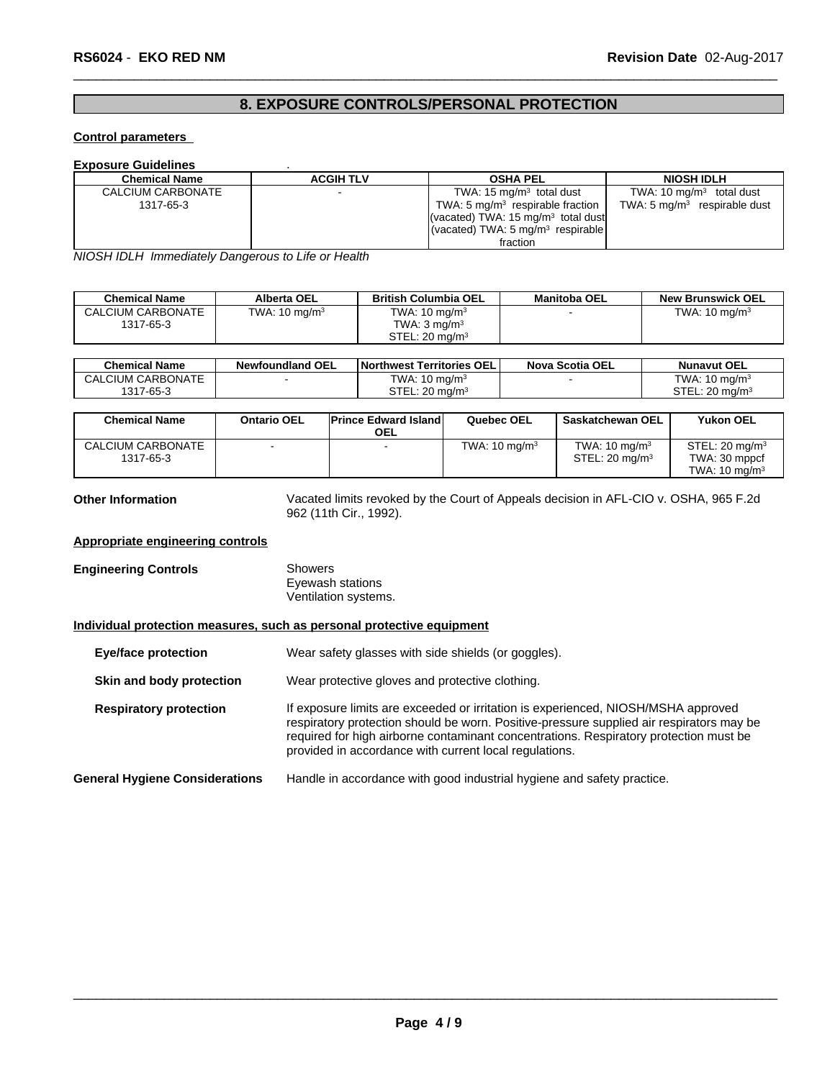# **8. EXPOSURE CONTROLS/PERSONAL PROTECTION**

## **Control parameters**

#### **Exposure Guidelines** .

| <b>Chemical Name</b> | <b>ACGIH TLV</b> | <b>OSHA PEL</b>                                         | <b>NIOSH IDLH</b>                       |
|----------------------|------------------|---------------------------------------------------------|-----------------------------------------|
| CALCIUM CARBONATE    |                  | TWA: $15 \text{ mg/m}^3$ total dust                     | TWA: 10 $mq/m3$ total dust              |
| 1317-65-3            |                  | TWA: 5 $mq/m3$ respirable fraction                      | TWA: $5 \text{ mg/m}^3$ respirable dust |
|                      |                  | (vacated) TWA: 15 $mq/m3$ total dust                    |                                         |
|                      |                  | $\sqrt{(vacated) TWA}$ : 5 mg/m <sup>3</sup> respirable |                                         |
|                      |                  | fraction                                                |                                         |

*NIOSH IDLH Immediately Dangerous to Life or Health*

| <b>Chemical Name</b> | Alberta OEL              | <b>British Columbia OEL</b> | <b>Manitoba OEL</b> | <b>New Brunswick OEL</b> |
|----------------------|--------------------------|-----------------------------|---------------------|--------------------------|
| CALCIUM CARBONATE    | TWA: $10 \text{ mg/m}^3$ | TWA: $10 \text{ mg/m}^3$    |                     | TWA: $10 \text{ mg/m}^3$ |
| 1317-65-3            |                          | TWA: 3 ma/m $^3$            |                     |                          |
|                      |                          | STEL: 20 mg/m <sup>3</sup>  |                     |                          |

| <b>Chemical Name</b> | <b>Newfoundland OEL</b> | Northwest Territories OEL    | <b>Nova Scotia OEL</b> | <b>Nunavut OEL</b>                    |
|----------------------|-------------------------|------------------------------|------------------------|---------------------------------------|
| CALCIUM CARBONATE    |                         | TWA: $10 \text{ ma/m}^3$     |                        | TWA: $10 \text{ ma/m}^3$              |
| 1317-65-3            |                         | $STEL: 20$ ma/m <sup>3</sup> |                        | STEL:<br>$\cdot$ 20 ma/m <sup>s</sup> |

| <b>Chemical Name</b> | <b>Ontario OEL</b> | <b>Prince Edward Island</b><br><b>OEL</b> | Quebec OEL               | <b>Saskatchewan OEL</b>  | <b>Yukon OEL</b>         |
|----------------------|--------------------|-------------------------------------------|--------------------------|--------------------------|--------------------------|
| CALCIUM CARBONATE    |                    |                                           | TWA: $10 \text{ mg/m}^3$ | TWA: $10 \text{ mg/m}^3$ | $STEL: 20$ mg/m $3$      |
| 1317-65-3            |                    |                                           |                          | $STEL: 20$ mg/m $3$      | TWA: 30 mppcf            |
|                      |                    |                                           |                          |                          | TWA: $10 \text{ mg/m}^3$ |

**Other Information** Vacated limits revoked by the Court of Appeals decision in AFL-CIO v.OSHA, 965 F.2d 962 (11th Cir., 1992).

#### **Appropriate engineering controls**

**Engineering Controls** Showers Eyewash stations Ventilation systems.

#### **Individual protection measures, such as personal protective equipment**

| Eye/face protection                   | Wear safety glasses with side shields (or goggles).                                                                                                                                                                                                                                                                              |
|---------------------------------------|----------------------------------------------------------------------------------------------------------------------------------------------------------------------------------------------------------------------------------------------------------------------------------------------------------------------------------|
| Skin and body protection              | Wear protective gloves and protective clothing.                                                                                                                                                                                                                                                                                  |
| <b>Respiratory protection</b>         | If exposure limits are exceeded or irritation is experienced, NIOSH/MSHA approved<br>respiratory protection should be worn. Positive-pressure supplied air respirators may be<br>required for high airborne contaminant concentrations. Respiratory protection must be<br>provided in accordance with current local regulations. |
| <b>General Hygiene Considerations</b> | Handle in accordance with good industrial hygiene and safety practice.                                                                                                                                                                                                                                                           |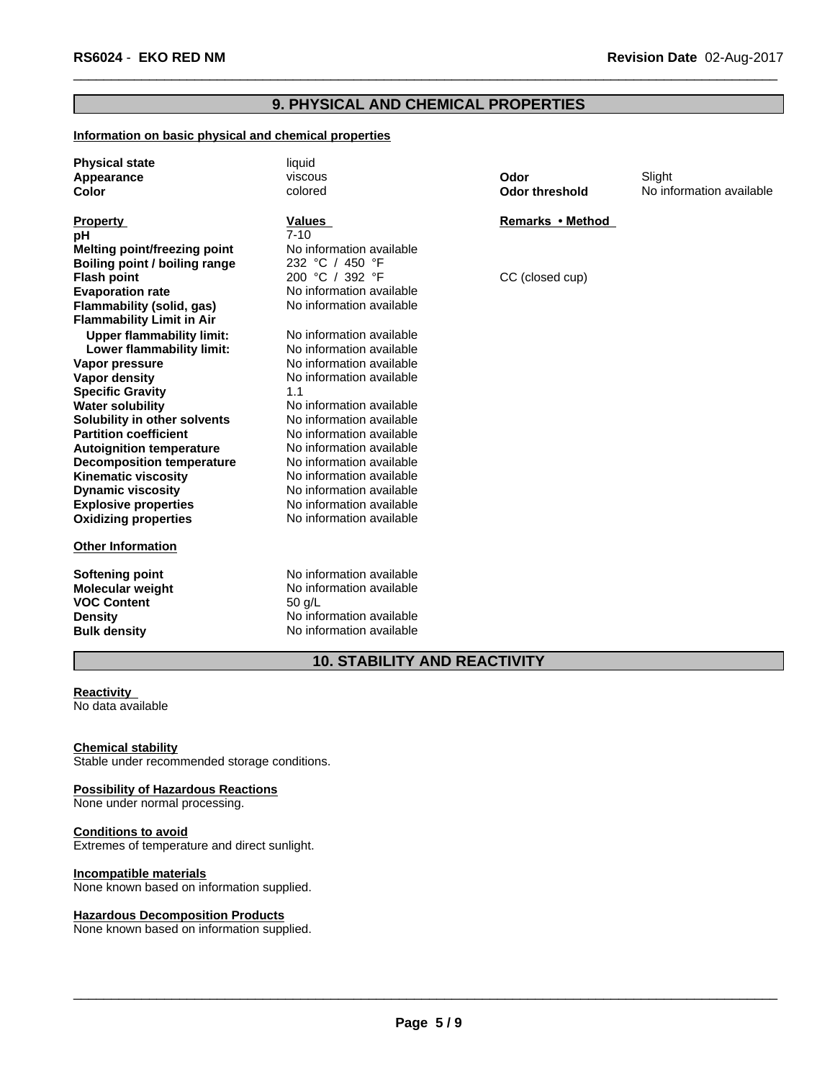## **9. PHYSICAL AND CHEMICAL PROPERTIES**

### **Information on basic physical and chemical properties**

| <b>Physical state</b>            | liquid                   |                       |                          |
|----------------------------------|--------------------------|-----------------------|--------------------------|
| Appearance                       | viscous                  | Odor                  | Slight                   |
| Color                            | colored                  | <b>Odor threshold</b> | No information available |
| <b>Property</b>                  | <b>Values</b>            | Remarks • Method      |                          |
| рH                               | $7 - 10$                 |                       |                          |
| Melting point/freezing point     | No information available |                       |                          |
| Boiling point / boiling range    | 232 °C / 450 °F          |                       |                          |
| <b>Flash point</b>               | 200 °C / 392 °F          | CC (closed cup)       |                          |
| <b>Evaporation rate</b>          | No information available |                       |                          |
| Flammability (solid, gas)        | No information available |                       |                          |
| <b>Flammability Limit in Air</b> |                          |                       |                          |
| <b>Upper flammability limit:</b> | No information available |                       |                          |
| Lower flammability limit:        | No information available |                       |                          |
| Vapor pressure                   | No information available |                       |                          |
| Vapor density                    | No information available |                       |                          |
| <b>Specific Gravity</b>          | 1.1                      |                       |                          |
| <b>Water solubility</b>          | No information available |                       |                          |
| Solubility in other solvents     | No information available |                       |                          |
| <b>Partition coefficient</b>     | No information available |                       |                          |
| <b>Autoignition temperature</b>  | No information available |                       |                          |
| <b>Decomposition temperature</b> | No information available |                       |                          |
| <b>Kinematic viscosity</b>       | No information available |                       |                          |
| <b>Dynamic viscosity</b>         | No information available |                       |                          |
| <b>Explosive properties</b>      | No information available |                       |                          |
| <b>Oxidizing properties</b>      | No information available |                       |                          |
| <b>Other Information</b>         |                          |                       |                          |
| <b>Softening point</b>           | No information available |                       |                          |
| <b>Molecular weight</b>          | No information available |                       |                          |
| <b>VOC Content</b>               | $50$ q/L                 |                       |                          |
| <b>Density</b>                   | No information available |                       |                          |

## **10. STABILITY AND REACTIVITY**

**No information available** 

#### **Reactivity** No data available

**Chemical stability** Stable under recommended storage conditions.

**Density** No information available<br> **Bulk density** No information available

#### **Possibility of Hazardous Reactions**

None under normal processing.

## **Conditions to avoid**

Extremes of temperature and direct sunlight.

### **Incompatible materials**

None known based on information supplied.

#### **Hazardous Decomposition Products**

None known based on information supplied.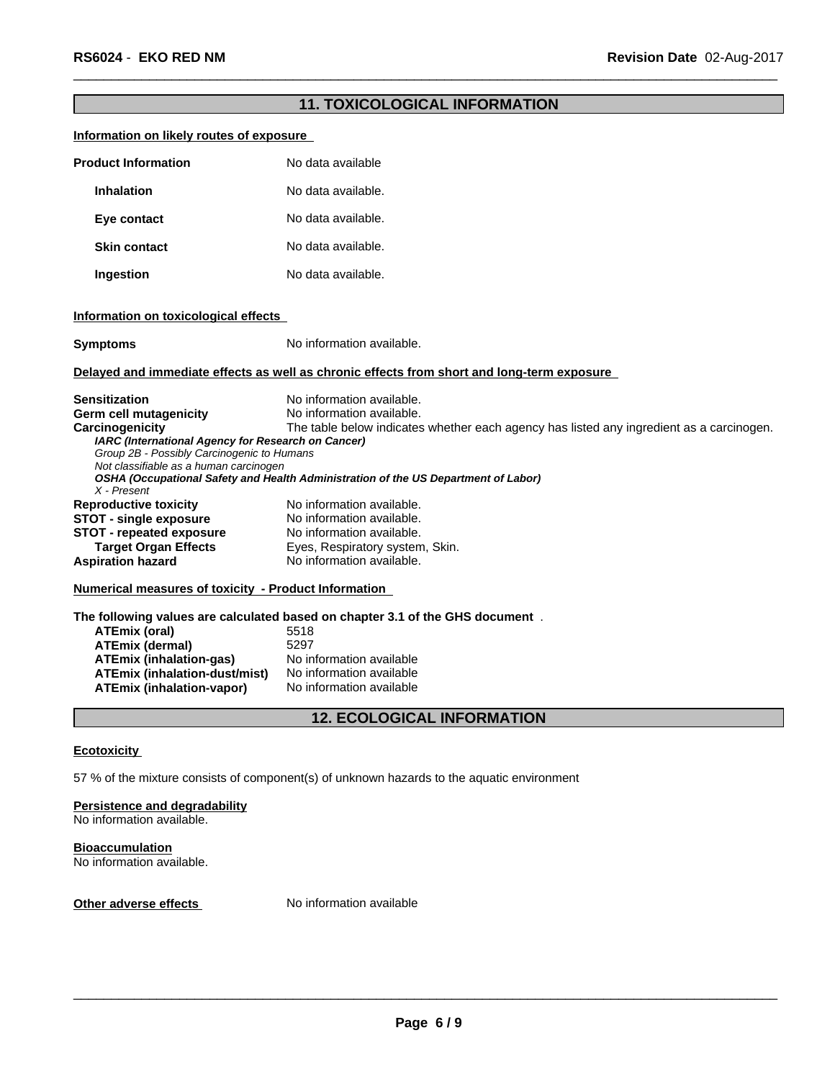# **11. TOXICOLOGICAL INFORMATION Information on likely routes of exposure Product Information** No data available **Inhalation** No data available. **Eye contact** No data available. **Skin contact** No data available. **Ingestion** No data available. **Information on toxicological effects Symptoms** No information available. **Delayed and immediate effects as well as chronic effects from short and long-term exposure Sensitization** No information available. **Germ cell mutagenicity** No information available. **Carcinogenicity** The table below indicateswhether each agency has listed any ingredient as a carcinogen. *IARC (International Agency for Research on Cancer) Group 2B - Possibly Carcinogenic to Humans Not classifiable as a human carcinogen OSHA (Occupational Safety and Health Administration of the US Department of Labor) X - Present* **Reproductive toxicity No information available.**<br>**STOT - single exposure** No information available. **STOT** - **single exposure** No information available.<br>**STOT** - **repeated exposure** No information available. **STOT - repeated exposure<br>Target Organ Effects Eyes, Respiratory system, Skin. Aspiration hazard** No information available. **Numerical measures of toxicity - Product Information The following values are calculated based on chapter 3.1 of the GHS document** . **ATEmix (oral)** 5518<br> **ATEmix (dermal)** 5297 **ATEmix (dermal)** 5297<br>**ATEmix (inhalation-gas)** No information available **ATEmix (inhalation-gas)** No information available<br>**ATEmix (inhalation-dust/mist)** No information available **ATEmix** (inhalation-dust/mist) **ATEmix (inhalation-vapor)** No information available **12. ECOLOGICAL INFORMATION**

#### **Ecotoxicity**

57 % of the mixture consists of component(s) of unknown hazards to the aquatic environment

#### **Persistence and degradability** No information available.

**Bioaccumulation** No information available.

**Other adverse effects** No information available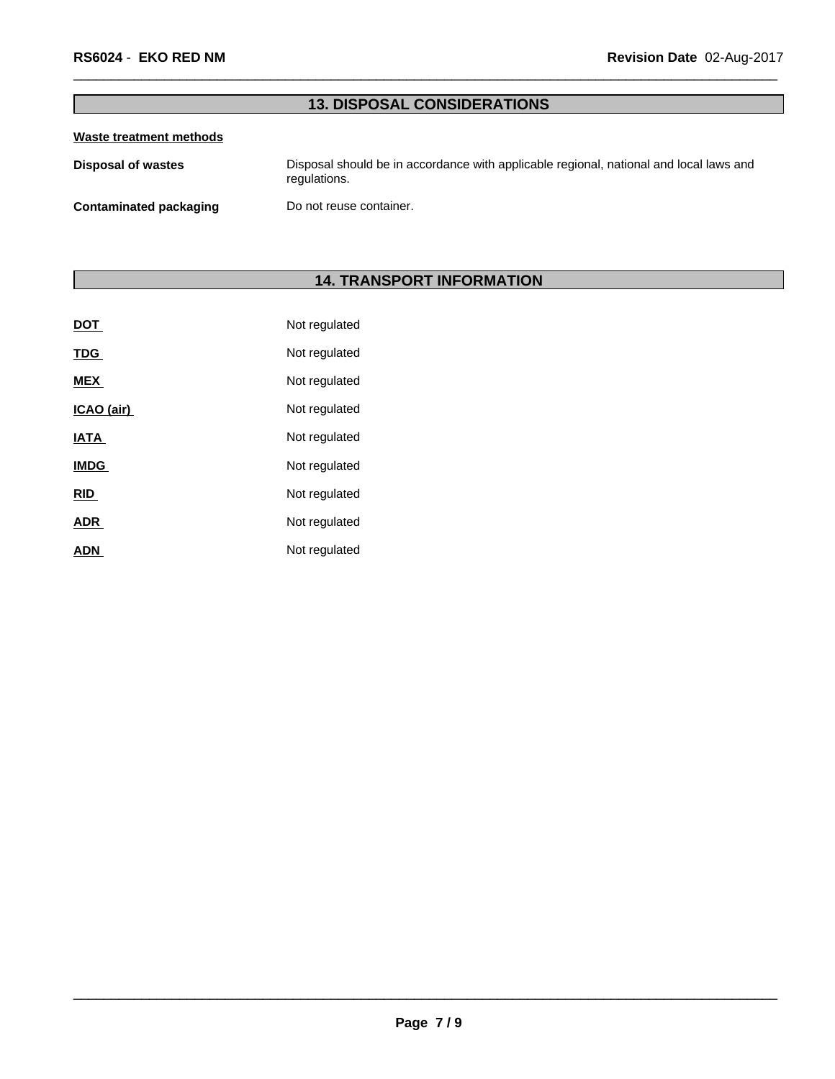# **13. DISPOSAL CONSIDERATIONS**

### **Waste treatment methods**

**Disposal of wastes** Disposal should be in accordance with applicable regional, national and local laws and regulations.

**Contaminated packaging** Do not reuse container.

# **14. TRANSPORT INFORMATION**

| <u>DOT</u>  | Not regulated |
|-------------|---------------|
| <b>TDG</b>  | Not regulated |
| <b>MEX</b>  | Not regulated |
| ICAO (air)  | Not regulated |
| <b>IATA</b> | Not regulated |
| <b>IMDG</b> | Not regulated |
| <b>RID</b>  | Not regulated |
| <b>ADR</b>  | Not regulated |
| <b>ADN</b>  | Not regulated |
|             |               |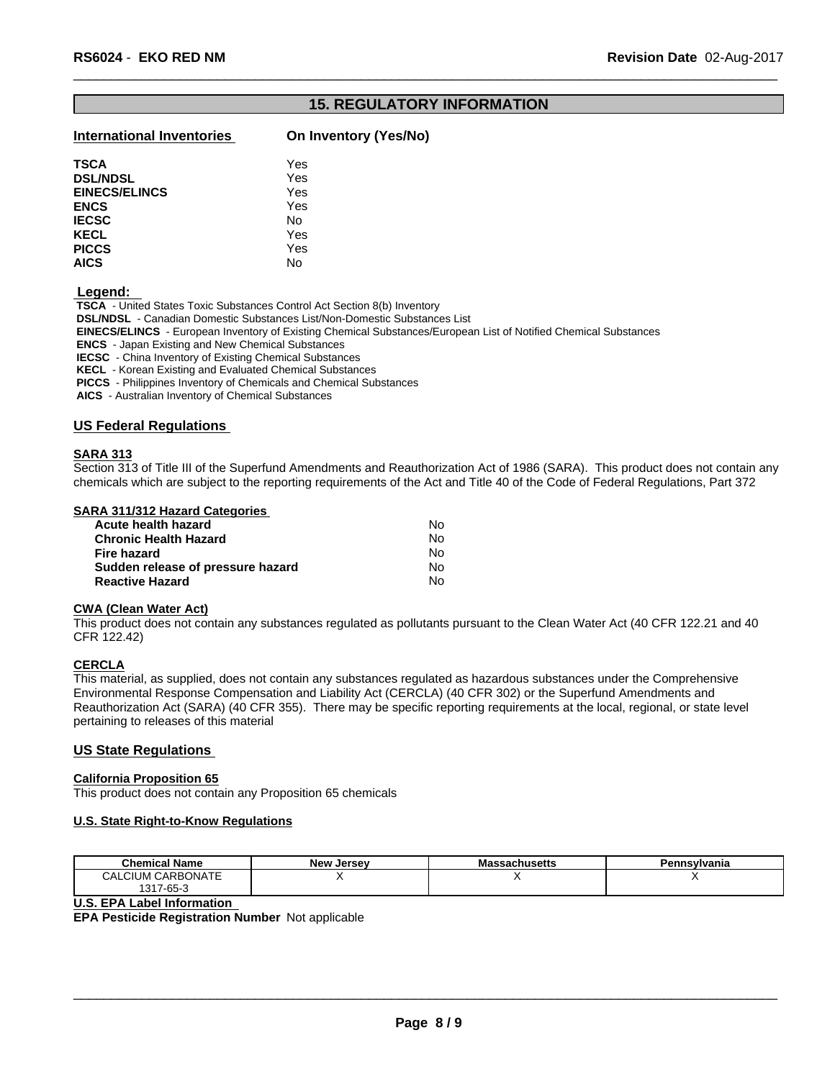## **15. REGULATORY INFORMATION**

## **International Inventories On Inventory (Yes/No)**

| <b>TSCA</b>          | Yes |  |
|----------------------|-----|--|
| <b>DSL/NDSL</b>      | Yes |  |
| <b>EINECS/ELINCS</b> | Yes |  |
| <b>ENCS</b>          | Yes |  |
| <b>IECSC</b>         | No  |  |
| KECL                 | Yes |  |
| <b>PICCS</b>         | Yes |  |
| <b>AICS</b>          | No  |  |
|                      |     |  |

 **Legend:** 

 **TSCA** - United States Toxic Substances Control Act Section 8(b) Inventory

 **DSL/NDSL** - Canadian Domestic Substances List/Non-Domestic Substances List

 **EINECS/ELINCS** - European Inventory of Existing Chemical Substances/European List of Notified Chemical Substances

 **ENCS** - Japan Existing and New Chemical Substances

 **IECSC** - China Inventory of Existing Chemical Substances

 **KECL** - Korean Existing and Evaluated Chemical Substances

 **PICCS** - Philippines Inventory of Chemicals and Chemical Substances

 **AICS** - Australian Inventory of Chemical Substances

#### **US Federal Regulations**

#### **SARA 313**

Section 313 of Title III of the Superfund Amendments and Reauthorization Act of 1986 (SARA). This product does not contain any chemicals which are subject to the reporting requirements of the Act and Title 40 of the Code of Federal Regulations, Part 372

#### **SARA 311/312 Hazard Categories**

| No. |  |
|-----|--|
| Nο  |  |
| No. |  |
| N٥  |  |
| Nο  |  |
|     |  |

#### **CWA** (Clean Water Act)

This product does not contain any substances regulated as pollutants pursuant to the Clean Water Act (40 CFR 122.21 and 40 CFR 122.42)

#### **CERCLA**

This material, as supplied, does not contain any substances regulated as hazardous substances under the Comprehensive Environmental Response Compensation and Liability Act (CERCLA) (40 CFR 302) or the Superfund Amendments and Reauthorization Act (SARA) (40 CFR 355). There may be specific reporting requirements at the local, regional, or state level pertaining to releases of this material

#### **US State Regulations**

#### **California Proposition 65**

This product does not contain any Proposition 65 chemicals

#### **U.S. State Right-to-Know Regulations**

| <b>Chemical Name</b>                 | New<br>. Jersev | <b>Massachusetts</b> | Pennsylvania |
|--------------------------------------|-----------------|----------------------|--------------|
| <b>I CARBONATE</b><br><b>CALCIUM</b> |                 |                      |              |
| 1317-65-3                            |                 |                      |              |

#### **U.S. EPA Label Information**

**EPA Pesticide Registration Number** Not applicable